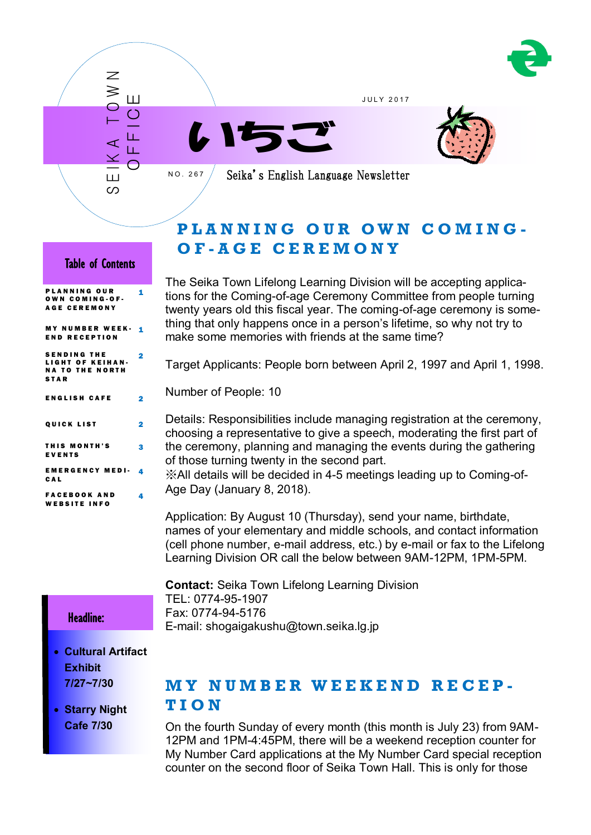

J U L Y 2 0 1 7





Seika's English Language Newsletter

# **P L A N N I N G O U R O W N C O M I N G - O F - A G E C E R E M O N Y**

### Table of Contents

S E IK A T O W N

Ш တ

 $\overline{\mathcal{Z}}$  $\geq$ 

O F F I C E

N O . 2 6 7

| <b>PLANNING OUR</b><br>OWN COMING-OF-<br><b>AGE CEREMONY</b>                    | 1  |
|---------------------------------------------------------------------------------|----|
| MY NUMBER WEEK-<br><b>END RECEPTION</b>                                         | 1  |
| <b>SENDING THE</b><br>LIGHT OF KEIHAN-<br><b>NA TO THE NORTH</b><br><b>STAR</b> | 2  |
| <b>ENGLISH CAFE</b>                                                             | 2  |
| <b>QUICK LIST</b>                                                               | 2  |
| THIS MONTH'S<br><b>EVENTS</b>                                                   | 3  |
| <b>EMERGENCY MEDI-</b><br>CAL                                                   | 4  |
| <b>FACEBOOK AND</b><br><b>WEBSITE INFO</b>                                      | Δ. |

The Seika Town Lifelong Learning Division will be accepting applications for the Coming-of-age Ceremony Committee from people turning twenty years old this fiscal year. The coming-of-age ceremony is something that only happens once in a person's lifetime, so why not try to make some memories with friends at the same time?

Target Applicants: People born between April 2, 1997 and April 1, 1998.

Number of People: 10

Details: Responsibilities include managing registration at the ceremony, choosing a representative to give a speech, moderating the first part of the ceremony, planning and managing the events during the gathering of those turning twenty in the second part.

※All details will be decided in 4-5 meetings leading up to Coming-of-Age Day (January 8, 2018).

Application: By August 10 (Thursday), send your name, birthdate, names of your elementary and middle schools, and contact information (cell phone number, e-mail address, etc.) by e-mail or fax to the Lifelong Learning Division OR call the below between 9AM-12PM, 1PM-5PM.

**Contact:** Seika Town Lifelong Learning Division TEL: 0774-95-1907 Fax: 0774-94-5176 E-mail: shogaigakushu@town.seika.lg.jp

### Headline:

I

- **Cultural Artifact Exhibit 7/27~7/30**
- **Starry Night Cafe 7/30**

## **M Y N U M B E R W E E K E N D R E C E P -**

### **T I O N**

On the fourth Sunday of every month (this month is July 23) from 9AM-12PM and 1PM-4:45PM, there will be a weekend reception counter for My Number Card applications at the My Number Card special reception counter on the second floor of Seika Town Hall. This is only for those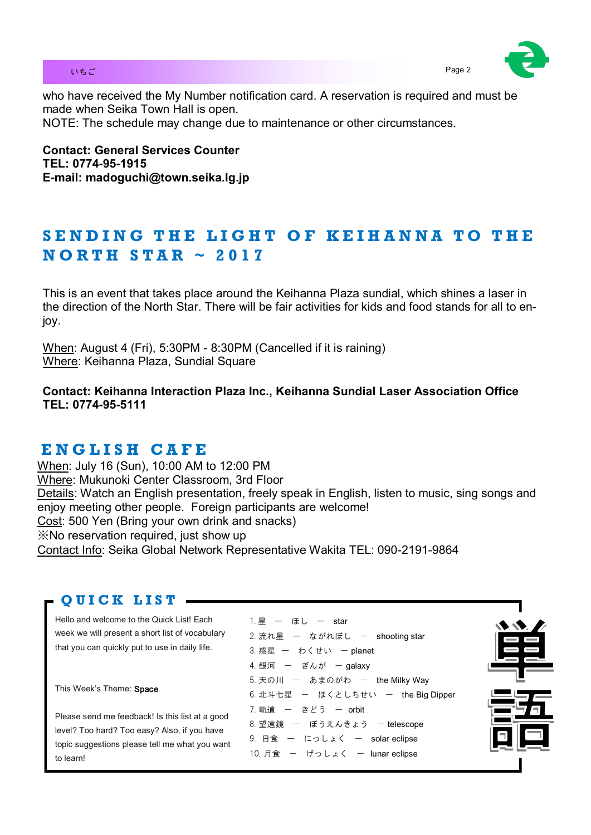### いちご Page 2 とのこと Page 2 とのこと Page 2 とのこと Page 2 とのこと Page 2 とのこと Page 2



who have received the My Number notification card. A reservation is required and must be made when Seika Town Hall is open. NOTE: The schedule may change due to maintenance or other circumstances.

**Contact: General Services Counter TEL: 0774-95-1915 E-mail: madoguchi@town.seika.lg.jp**

# SENDING THE LIGHT OF KEIHANNA TO THE **N O R T H S T A R ~ 2 0 1 7**

This is an event that takes place around the Keihanna Plaza sundial, which shines a laser in the direction of the North Star. There will be fair activities for kids and food stands for all to enjoy.

When: August 4 (Fri), 5:30PM - 8:30PM (Cancelled if it is raining) Where: Keihanna Plaza, Sundial Square

**Contact: Keihanna Interaction Plaza Inc., Keihanna Sundial Laser Association Office TEL: 0774-95-5111** 

# **E N G L I S H C A F E**

When: July 16 (Sun), 10:00 AM to 12:00 PM Where: Mukunoki Center Classroom, 3rd Floor Details: Watch an English presentation, freely speak in English, listen to music, sing songs and enjoy meeting other people. Foreign participants are welcome! Cost: 500 Yen (Bring your own drink and snacks) ※No reservation required, just show up Contact Info: Seika Global Network Representative Wakita TEL: 090-2191-9864

## **Q U I C K L I S T**

Hello and welcome to the Quick List! Each week we will present a short list of vocabulary that you can quickly put to use in daily life.

This Week's Theme: Space

Please send me feedback! Is this list at a good level? Too hard? Too easy? Also, if you have topic suggestions please tell me what you want to learn!

1. 星 ー ほし ー star  $2.$  流れ星 ー ながれぼし ー shooting star  $3.$  惑星 ー わくせい ー planet 4. 銀河 – ぎんが – galaxy 5. 天の川 ー あまのがわ ー the Milky Way 6. 北斗七星 ー ほくとしちせい ー the Big Dipper 7. 軌道 – きどう – orbit 8. 望遠鏡 - ぼうえんきょう - telescope  $9.$  日食 ー にっしょく ー solar eclipse 10. 月食 ー げっしょく ー lunar eclipse

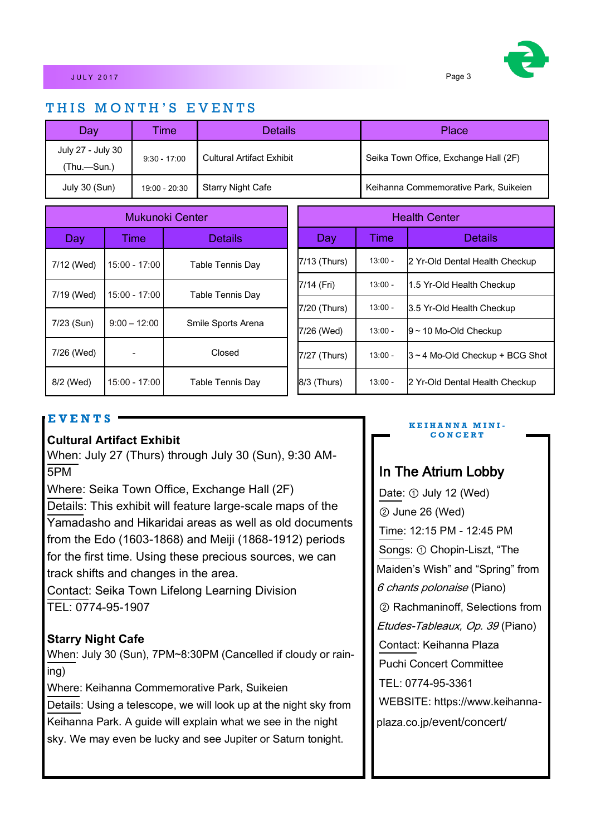## THIS MONTH'S EVENTS

| Day                              | ime            | <b>Details</b>            | Place                                 |
|----------------------------------|----------------|---------------------------|---------------------------------------|
| July 27 - July 30<br>(Thu.—Sun.) | $9:30 - 17:00$ | Cultural Artifact Exhibit | Seika Town Office, Exchange Hall (2F) |
| July 30 (Sun)                    | 19:00 - 20:30  | <b>Starry Night Cafe</b>  | Keihanna Commemorative Park, Suikeien |

| Mukunoki Center |                          | <b>Health Center</b> |              |           |                                   |
|-----------------|--------------------------|----------------------|--------------|-----------|-----------------------------------|
| Day             | <b>Time</b>              | <b>Details</b>       | Day          | Time      | <b>Details</b>                    |
| 7/12 (Wed)      | $15:00 - 17:00$          | Table Tennis Day     | 7/13 (Thurs) | $13:00 -$ | 2 Yr-Old Dental Health Checkup    |
| 7/19 (Wed)      | 15:00 - 17:00            |                      | 7/14 (Fri)   | $13:00 -$ | 1.5 Yr-Old Health Checkup         |
|                 |                          | Table Tennis Day     | 7/20 (Thurs) | $13:00 -$ | 3.5 Yr-Old Health Checkup         |
| 7/23 (Sun)      | $9:00 - 12:00$           | Smile Sports Arena   | 7/26 (Wed)   | $13:00 -$ | $9 \sim 10$ Mo-Old Checkup        |
| 7/26 (Wed)      | $\overline{\phantom{0}}$ | Closed               | 7/27 (Thurs) | $13:00 -$ | $3 - 4$ Mo-Old Checkup + BCG Shot |
| 8/2 (Wed)       | 15:00 - 17:00            | Table Tennis Day     | 8/3 (Thurs)  | $13:00 -$ | 2 Yr-Old Dental Health Checkup    |

### **E V E N T S**

### **Cultural Artifact Exhibit**

When: July 27 (Thurs) through July 30 (Sun), 9:30 AM-5PM

Where: Seika Town Office, Exchange Hall (2F)

Details: This exhibit will feature large-scale maps of the Yamadasho and Hikaridai areas as well as old documents from the Edo (1603-1868) and Meiji (1868-1912) periods for the first time. Using these precious sources, we can track shifts and changes in the area.

Contact: Seika Town Lifelong Learning Division TEL: 0774-95-1907

### **Starry Night Cafe**

When: July 30 (Sun), 7PM~8:30PM (Cancelled if cloudy or raining)

Where: Keihanna Commemorative Park, Suikeien

Details: Using a telescope, we will look up at the night sky from Keihanna Park. A guide will explain what we see in the night sky. We may even be lucky and see Jupiter or Saturn tonight.

#### **K E I H A N N A M I N I - C O N C E R T**

## In The Atrium Lobby

Date: ① July 12 (Wed) ② June 26 (Wed) Time: 12:15 PM - 12:45 PM Songs: ① Chopin-Liszt, "The Maiden's Wish" and "Spring" from 6 chants polonaise (Piano) ② Rachmaninoff, Selections from Etudes-Tableaux, Op. 39 (Piano) Contact: Keihanna Plaza Puchi Concert Committee TEL: 0774-95-3361 WEBSITE: https://www.keihannaplaza.co.jp/event/concert/